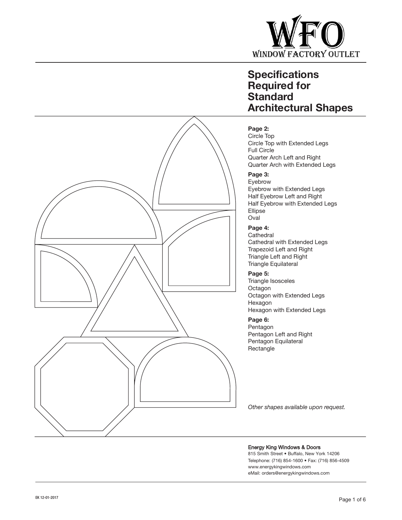

## **Page 2:**

Circle Top Circle Top with Extended Legs Full Circle Quarter Arch Left and Right Quarter Arch with Extended Legs

## **Page 3:**

Eyebrow Eyebrow with Extended Legs Half Eyebrow Left and Right Half Eyebrow with Extended Legs Ellipse Oval

## **Page 4:**

**Cathedral** Cathedral with Extended Legs Trapezoid Left and Right Triangle Left and Right Triangle Equilateral

#### **Page 5:**

Triangle Isosceles **Octagon** Octagon with Extended Legs Hexagon Hexagon with Extended Legs

#### **Page 6:**

Pentagon Pentagon Left and Right Pentagon Equilateral **Rectangle** 

*Other shapes available upon request.*

#### Energy King Windows & Doors

815 Smith Street • Buffalo, New York 14206 Telephone: (716) 854-1600 • Fax: (716) 856-4509 www.energykingwindows.com eMail: orders@energykingwindows.com

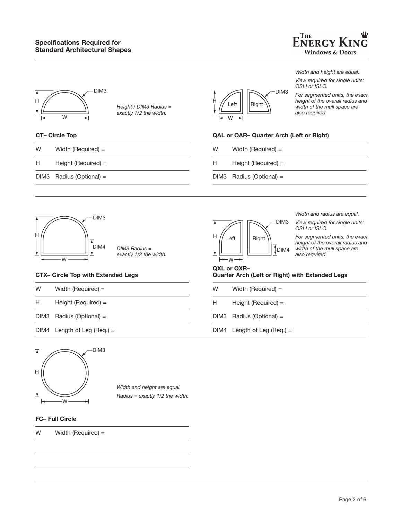



*Height / DIM3 Radius = exactly 1/2 the width.*

#### **CT– Circle Top**

- W Width (Required) =
- H Height (Required) =
- DIM3 Radius (Optional) =



*Width and height are equal.* 

*View required for single units: OSLI or ISLO.*

*For segmented units, the exact height of the overall radius and width of the mull space are also required.*

#### **QAL or QAR– Quarter Arch (Left or Right)**

- W Width (Required) =
- H Height (Required) =
- DIM3 Radius (Optional) =



*DIM3 Radius = exactly 1/2 the width.*

#### **CTX– Circle Top with Extended Legs**

| W | Width (Required) $=$ |
|---|----------------------|
|   |                      |

- H Height (Required) =
- DIM3 Radius (Optional) =
- DIM4 Length of Leg (Req.) =



*Width and height are equal. Radius = exactly 1/2 the width.*

## **FC– Full Circle**

W Width (Required) =



*Width and radius are equal.*

*View required for single units: OSLI or ISLO.*

*For segmented units, the exact height of the overall radius and width of the mull space are also required.*

## **QXL or QXR– Quarter Arch (Left or Right) with Extended Legs**

| W | Width (Required) $=$          |
|---|-------------------------------|
| Н | Height (Required) $=$         |
|   | $DIM3$ Radius (Optional) =    |
|   | DIM4 Length of Leg (Req.) $=$ |
|   |                               |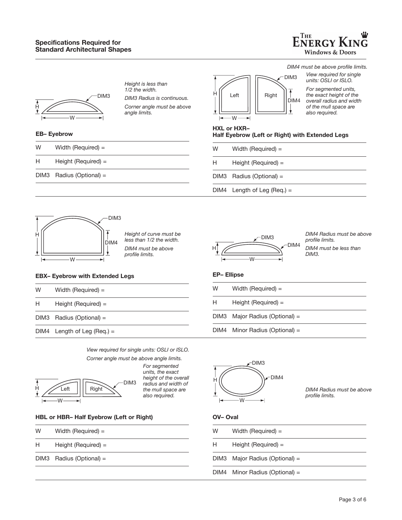

*DIM4 must be above profile limits.*



*Height is less than 1/2 the width.*

*DIM3 Radius is continuous. Corner angle must be above angle limits.*

#### **EB– Eyebrow**

| W | Width (Required) $=$ |  |
|---|----------------------|--|
|   |                      |  |

- H Height (Required) =
- DIM3 Radius (Optional) =



*View required for single units: OSLI or ISLO. For segmented units, the exact height of the overall radius and width of the mull space are also required.*

|  |  | <b>HXL or HXR-</b> |  |
|--|--|--------------------|--|
|  |  |                    |  |

Í.

## **Half Eyebrow (Left or Right) with Extended Legs**

| W | Width (Required) $=$          |
|---|-------------------------------|
| н | Height (Required) $=$         |
|   | DIM3 Radius (Optional) =      |
|   | $DIM4$ Length of Leg (Reg.) = |



*Height of curve must be less than 1/2 the width. DIM4 must be above profile limits.*

*View required for single units: OSLI or ISLO.*

#### **EBX– Eyebrow with Extended Legs**

- W Width (Required) =
- H Height (Required) =
- DIM3 Radius (Optional) =
- DIM4 Length of Leg (Req.) =

DIM3  $H$   $\sim$  DIM4 W

*DIM4 Radius must be above profile limits. DIM4 must be less than DIM3.*

#### **EP– Ellipse**

W Width (Required) = H Height (Required) = DIM3 Major Radius (Optional) =

DIM4 Minor Radius (Optional) =



*DIM4 Radius must be above profile limits.*

#### **OV– Oval**

| W | Width (Required) $=$           |
|---|--------------------------------|
| H | Height (Required) $=$          |
|   | DIM3 Major Radius (Optional) = |
|   | DIM4 Minor Radius (Optional) = |

DIM3 H W Left  $||||$  Right

*Corner angle must be above angle limits. For segmented units, the exact height of the overall radius and width of the mull space are also required.*

#### **HBL or HBR– Half Eyebrow (Left or Right)**

- W Width (Required) =
- H Height (Required) =
- DIM3 Radius (Optional) =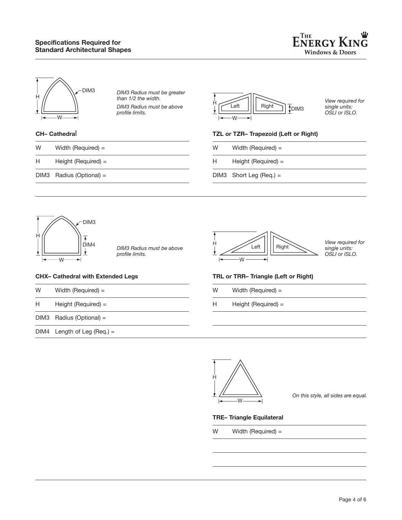



*DIM3 Radius must be greater than 1/2 the width. DIM3 Radius must be above profile limits.*

## **CH– Cathedra**l

| W | Width (Required) $=$ |  |
|---|----------------------|--|
|   |                      |  |

- H Height (Required) =
- DIM3 Radius (Optional) =



*View required for single units: OSLI or ISLO.*

#### **TZL or TZR– Trapezoid (Left or Right)**

- W Width (Required) =
- H Height (Required) =
- DIM3 Short Leg (Req.) =



*DIM3 Radius must be above profile limits.*

#### **CHX– Cathedral with Extended Legs**

- W Width (Required) =
- H Height (Required) =
- DIM3 Radius (Optional) =

DIM4 Length of Leg (Req.) =



*View required for single units: OSLI or ISLO.*

#### **TRL or TRR– Triangle (Left or Right)**

- W Width (Required) =
- H Height (Required) =



*On this style, all sides are equal.*

#### **TRE– Triangle Equilateral**

W Width (Required) =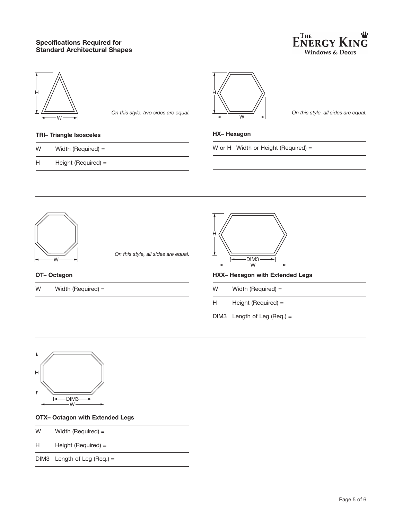

*On this style, all sides are equal.*



*On this style, two sides are equal.*

### **TRI– Triangle Isosceles**

| W | Width (Required) $=$  | W or H Width |
|---|-----------------------|--------------|
| н | Height (Required) $=$ |              |



*On this style, all sides are equal.*

#### **OT– Octagon**

W Width (Required) =



**HX– Hexagon**

W

H

**HXX– Hexagon with Extended Legs**

or Height (Required)  $=$ 

- W Width (Required) =
- H Height (Required) =

DIM3 Length of Leg (Req.) =



#### **OTX– Octagon with Extended Legs**

- W Width (Required) =
- H Height (Required) =

DIM3 Length of Leg (Req.) =